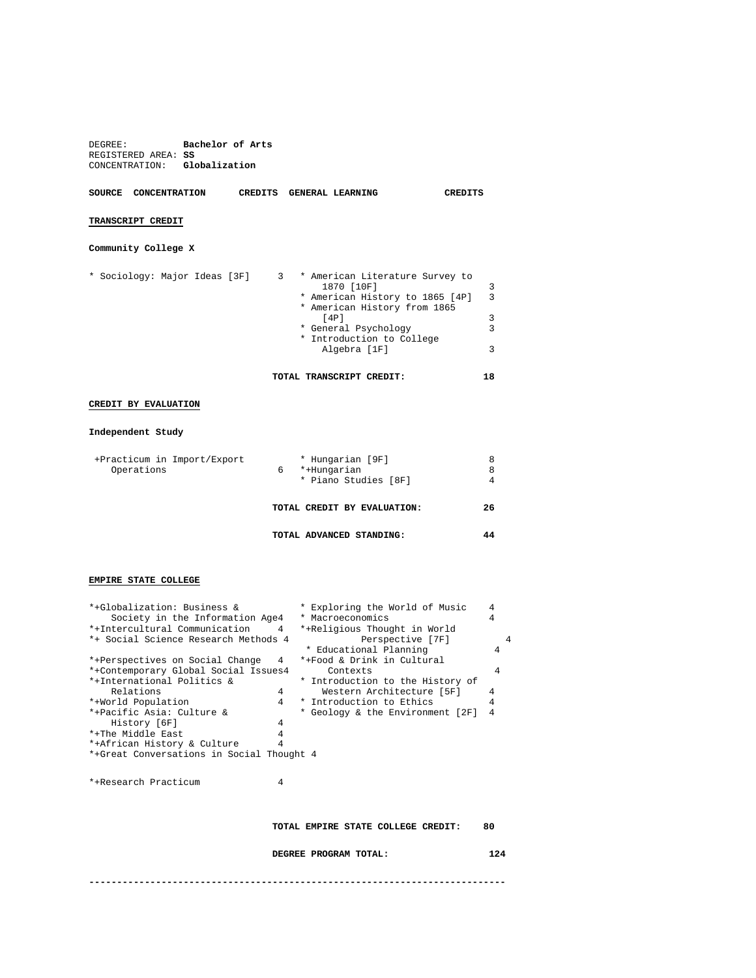| DEGREE:<br>REGISTERED AREA: SS<br>CONCENTRATION: Globalization | Bachelor of Arts |                                                                                                                                                                                                 |                       |
|----------------------------------------------------------------|------------------|-------------------------------------------------------------------------------------------------------------------------------------------------------------------------------------------------|-----------------------|
| SOURCE CONCENTRATION                                           |                  | CREDITS GENERAL LEARNING                                                                                                                                                                        | <b>CREDITS</b>        |
| TRANSCRIPT CREDIT                                              |                  |                                                                                                                                                                                                 |                       |
| Community College X                                            |                  |                                                                                                                                                                                                 |                       |
| * Sociology: Major Ideas [3F]                                  |                  | 3 * American Literature Survey to<br>1870 [10F]<br>* American History to 1865 [4P]<br>* American History from 1865<br>[4P]<br>* General Psychology<br>* Introduction to College<br>Algebra [1F] | 3<br>3<br>3<br>3<br>3 |
|                                                                |                  | TOTAL TRANSCRIPT CREDIT:                                                                                                                                                                        | 18                    |
| CREDIT BY EVALUATION                                           |                  |                                                                                                                                                                                                 |                       |

## **Independent Study**

| +Practicum in Import/Export<br>Operations | * Hungarian [9F]<br>*+Hungarian<br>6<br>* Piano Studies [8F] | 8  |
|-------------------------------------------|--------------------------------------------------------------|----|
|                                           | TOTAL CREDIT BY EVALUATION:                                  | 26 |
|                                           | TOTAL ADVANCED STANDING:                                     |    |

## **EMPIRE STATE COLLEGE**

| *+Globalization: Business &                                        | * Exploring the World of Music | 4                                  |    |  |  |  |
|--------------------------------------------------------------------|--------------------------------|------------------------------------|----|--|--|--|
| Society in the Information Age4                                    |                                | * Macroeconomics                   | 4  |  |  |  |
| *+Intercultural Communication<br>*+Religious Thought in World<br>4 |                                |                                    |    |  |  |  |
| Perspective [7F]<br>*+ Social Science Research Methods 4           |                                |                                    |    |  |  |  |
|                                                                    |                                | * Educational Planning             | 4  |  |  |  |
| *+Perspectives on Social Change                                    | 4                              | *+Food & Drink in Cultural         |    |  |  |  |
| *+Contemporary Global Social Issues4                               |                                | Contexts                           | 4  |  |  |  |
| *+International Politics &                                         |                                | * Introduction to the History of   |    |  |  |  |
| Relations                                                          | $\overline{4}$                 | Western Architecture [5F]          | 4  |  |  |  |
| *+World Population                                                 | $\overline{4}$                 | * Introduction to Ethics           | 4  |  |  |  |
| *+Pacific Asia: Culture &                                          |                                | * Geology & the Environment [2F]   | 4  |  |  |  |
| History [6F]                                                       | 4                              |                                    |    |  |  |  |
| *+The Middle East                                                  | 4                              |                                    |    |  |  |  |
| *+African History & Culture                                        | 4                              |                                    |    |  |  |  |
| *+Great Conversations in Social Thought 4                          |                                |                                    |    |  |  |  |
|                                                                    |                                |                                    |    |  |  |  |
|                                                                    |                                |                                    |    |  |  |  |
| *+Research Practicum                                               | 4                              |                                    |    |  |  |  |
|                                                                    |                                |                                    |    |  |  |  |
|                                                                    |                                |                                    |    |  |  |  |
|                                                                    |                                |                                    |    |  |  |  |
|                                                                    |                                | TOTAL EMPIRE STATE COLLEGE CREDIT: | 80 |  |  |  |
|                                                                    |                                |                                    |    |  |  |  |
| DEGREE PROGRAM TOTAL:                                              |                                |                                    |    |  |  |  |
| 124                                                                |                                |                                    |    |  |  |  |
|                                                                    |                                |                                    |    |  |  |  |
|                                                                    |                                |                                    |    |  |  |  |